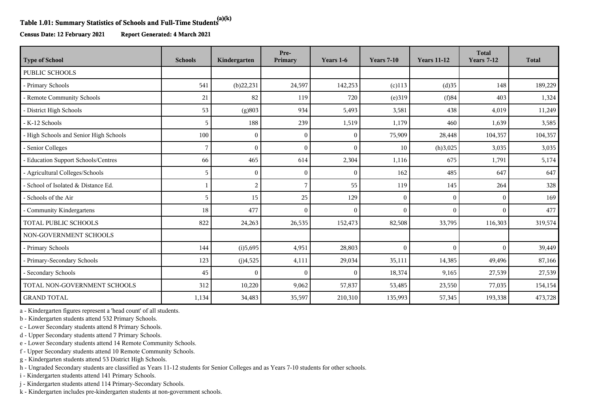## **Table 1.01: Summary Statistics of Schools and Full-Time Students(a)(k)**

**Census Date: 12 February 2021 Report Generated: 4 March 2021**

| <b>Type of School</b>                  | <b>Schools</b> | Kindergarten   | Pre-<br>Primary | Years 1-6 | <b>Years 7-10</b> | <b>Years 11-12</b> | <b>Total</b><br><b>Years 7-12</b> | <b>Total</b> |
|----------------------------------------|----------------|----------------|-----------------|-----------|-------------------|--------------------|-----------------------------------|--------------|
| <b>PUBLIC SCHOOLS</b>                  |                |                |                 |           |                   |                    |                                   |              |
| - Primary Schools                      | 541            | (b)22,231      | 24,597          | 142,253   | $(c)$ 113         | (d)35              | 148                               | 189,229      |
| - Remote Community Schools             | 21             | 82             | 119             | 720       | (e)319            | (f)84              | 403                               | 1,324        |
| - District High Schools                | 53             | (g)803         | 934             | 5,493     | 3,581             | 438                | 4,019                             | 11,249       |
| - K-12 Schools                         | 5              | 188            | 239             | 1,519     | 1,179             | 460                | 1,639                             | 3,585        |
| - High Schools and Senior High Schools | 100            | $\Omega$       | $\theta$        | $\theta$  | 75,909            | 28,448             | 104,357                           | 104,357      |
| - Senior Colleges                      | 7              | $\Omega$       |                 | $\Omega$  | 10                | (h)3,025           | 3,035                             | 3,035        |
| - Education Support Schools/Centres    | 66             | 465            | 614             | 2,304     | 1,116             | 675                | 1,791                             | 5,174        |
| - Agricultural Colleges/Schools        | 5              | $\Omega$       | $\sqrt{ }$      | $\Omega$  | 162               | 485                | 647                               | 647          |
| - School of Isolated & Distance Ed.    | 1              | $\overline{2}$ | 7               | 55        | 119               | 145                | 264                               | 328          |
| - Schools of the Air                   | 5              | 15             | 25              | 129       | $\mathbf{0}$      | $\theta$           | $\theta$                          | 169          |
| - Community Kindergartens              | 18             | 477            | $\Omega$        | $\theta$  | $\mathbf{0}$      | $\mathbf{0}$       | $\Omega$                          | 477          |
| <b>TOTAL PUBLIC SCHOOLS</b>            | 822            | 24,263         | 26,535          | 152,473   | 82,508            | 33,795             | 116,303                           | 319,574      |
| NON-GOVERNMENT SCHOOLS                 |                |                |                 |           |                   |                    |                                   |              |
| - Primary Schools                      | 144            | (i)5,695       | 4,951           | 28,803    | $\mathbf{0}$      | $\theta$           | $\Omega$                          | 39,449       |
| - Primary-Secondary Schools            | 123            | (j)4,525       | 4,111           | 29,034    | 35,111            | 14,385             | 49,496                            | 87,166       |
| - Secondary Schools                    | 45             | $\Omega$       | $\Omega$        | $\theta$  | 18,374            | 9,165              | 27,539                            | 27,539       |
| TOTAL NON-GOVERNMENT SCHOOLS           | 312            | 10,220         | 9,062           | 57,837    | 53,485            | 23,550             | 77,035                            | 154,154      |
| <b>GRAND TOTAL</b>                     | 1,134          | 34,483         | 35,597          | 210,310   | 135,993           | 57,345             | 193,338                           | 473,728      |

a - Kindergarten figures represent a 'head count' of all students.

b - Kindergarten students attend 532 Primary Schools.

c - Lower Secondary students attend 8 Primary Schools.

d - Upper Secondary students attend 7 Primary Schools.

e - Lower Secondary students attend 14 Remote Community Schools.

f - Upper Secondary students attend 10 Remote Community Schools.

g - Kindergarten students attend 53 District High Schools.

h - Ungraded Secondary students are classified as Years 11-12 students for Senior Colleges and as Years 7-10 students for other schools.

i - Kindergarten students attend 141 Primary Schools.

j - Kindergarten students attend 114 Primary-Secondary Schools.

k - Kindergarten includes pre-kindergarten students at non-government schools.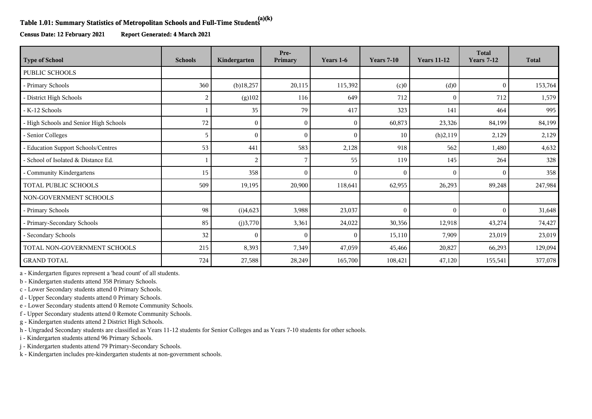## **Table 1.01: Summary Statistics of Metropolitan Schools and Full-Time Students(a)(k)**

**Census Date: 12 February 2021 Report Generated: 4 March 2021**

| <b>Type of School</b>                  | <b>Schools</b> | Kindergarten | Pre-<br>Primary | Years 1-6    | <b>Years 7-10</b> | <b>Years 11-12</b> | <b>Total</b><br><b>Years 7-12</b> | <b>Total</b> |
|----------------------------------------|----------------|--------------|-----------------|--------------|-------------------|--------------------|-----------------------------------|--------------|
| <b>PUBLIC SCHOOLS</b>                  |                |              |                 |              |                   |                    |                                   |              |
| - Primary Schools                      | 360            | $(b)$ 18,257 | 20,115          | 115,392      | (c)0              | (d)0               | $\Omega$                          | 153,764      |
| - District High Schools                | 2              | (g)102       | 116             | 649          | 712               | $\overline{0}$     | 712                               | 1,579        |
| - K-12 Schools                         |                | 35           | 79              | 417          | 323               | 141                | 464                               | 995          |
| - High Schools and Senior High Schools | 72             | $\theta$     | $\theta$        | $\mathbf{0}$ | 60,873            | 23,326             | 84,199                            | 84,199       |
| - Senior Colleges                      | 5              | $\Omega$     | $\Omega$        | $\Omega$     | 10                | (h)2,119           | 2,129                             | 2,129        |
| - Education Support Schools/Centres    | 53             | 441          | 583             | 2,128        | 918               | 562                | 1,480                             | 4,632        |
| - School of Isolated & Distance Ed.    |                | 2            |                 | 55           | 119               | 145                | 264                               | 328          |
| Community Kindergartens                | 15             | 358          | $\Omega$        | $\theta$     | 0                 | $\Omega$           | $\Omega$                          | 358          |
| TOTAL PUBLIC SCHOOLS                   | 509            | 19,195       | 20,900          | 118,641      | 62,955            | 26,293             | 89,248                            | 247,984      |
| NON-GOVERNMENT SCHOOLS                 |                |              |                 |              |                   |                    |                                   |              |
| - Primary Schools                      | 98             | (i)4,623     | 3,988           | 23,037       | $\Omega$          | $\mathbf{0}$       | $\Omega$                          | 31,648       |
| - Primary-Secondary Schools            | 85             | (j)3,770     | 3,361           | 24,022       | 30,356            | 12,918             | 43,274                            | 74,427       |
| - Secondary Schools                    | 32             | $\Omega$     | $\theta$        | $\theta$     | 15,110            | 7,909              | 23,019                            | 23,019       |
| TOTAL NON-GOVERNMENT SCHOOLS           | 215            | 8,393        | 7,349           | 47,059       | 45,466            | 20,827             | 66,293                            | 129,094      |
| <b>GRAND TOTAL</b>                     | 724            | 27,588       | 28,249          | 165,700      | 108,421           | 47,120             | 155,541                           | 377,078      |

a - Kindergarten figures represent a 'head count' of all students.

b - Kindergarten students attend 358 Primary Schools.

c - Lower Secondary students attend 0 Primary Schools.

d - Upper Secondary students attend 0 Primary Schools.

e - Lower Secondary students attend 0 Remote Community Schools.

f - Upper Secondary students attend 0 Remote Community Schools.

g - Kindergarten students attend 2 District High Schools.

h - Ungraded Secondary students are classified as Years 11-12 students for Senior Colleges and as Years 7-10 students for other schools.

i - Kindergarten students attend 96 Primary Schools.

j - Kindergarten students attend 79 Primary-Secondary Schools.

k - Kindergarten includes pre-kindergarten students at non-government schools.